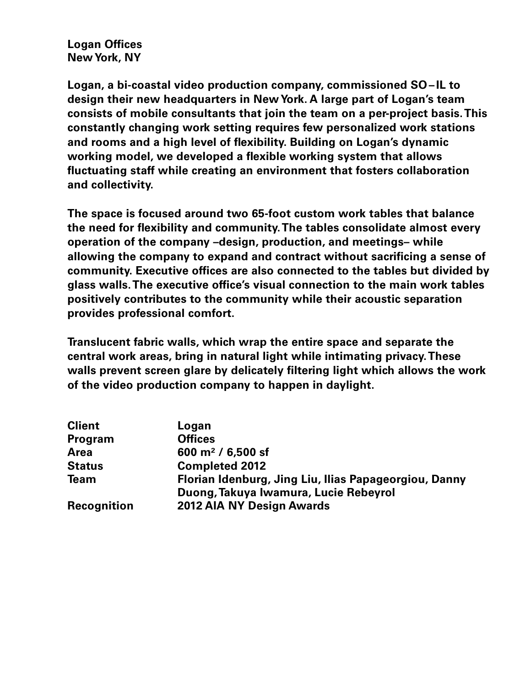**Logan Offices New York, NY**

**Logan, a bi-coastal video production company, commissioned SO– IL to design their new headquarters in New York. A large part of Logan's team consists of mobile consultants that join the team on a per-project basis. This constantly changing work setting requires few personalized work stations and rooms and a high level of flexibility. Building on Logan's dynamic working model, we developed a flexible working system that allows fluctuating staff while creating an environment that fosters collaboration and collectivity.** 

**The space is focused around two 65-foot custom work tables that balance the need for flexibility and community. The tables consolidate almost every operation of the company –design, production, and meetings– while allowing the company to expand and contract without sacrificing a sense of community. Executive offices are also connected to the tables but divided by glass walls. The executive office's visual connection to the main work tables positively contributes to the community while their acoustic separation provides professional comfort.**

**Translucent fabric walls, which wrap the entire space and separate the central work areas, bring in natural light while intimating privacy. These walls prevent screen glare by delicately filtering light which allows the work of the video production company to happen in daylight.** 

| <b>Client</b>      | Logan                                                                                          |
|--------------------|------------------------------------------------------------------------------------------------|
| Program            | <b>Offices</b>                                                                                 |
| <b>Area</b>        | 600 m <sup>2</sup> / 6,500 sf                                                                  |
| <b>Status</b>      | <b>Completed 2012</b>                                                                          |
| <b>Team</b>        | Florian Idenburg, Jing Liu, Ilias Papageorgiou, Danny<br>Duong, Takuya Iwamura, Lucie Rebeyrol |
| <b>Recognition</b> | 2012 AIA NY Design Awards                                                                      |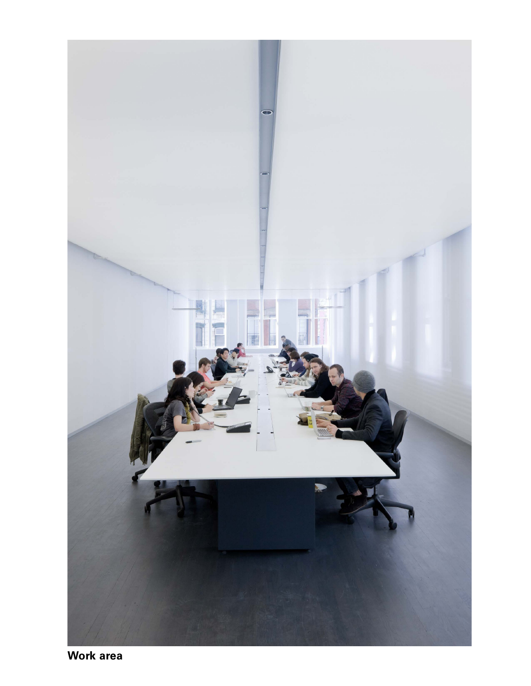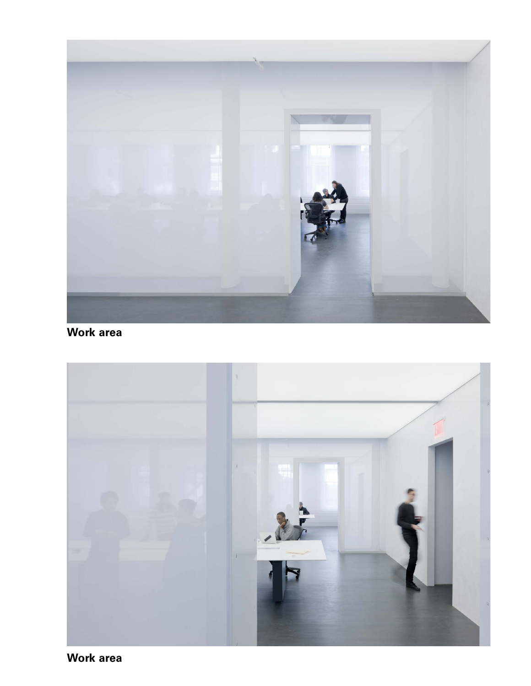

## **Work area**

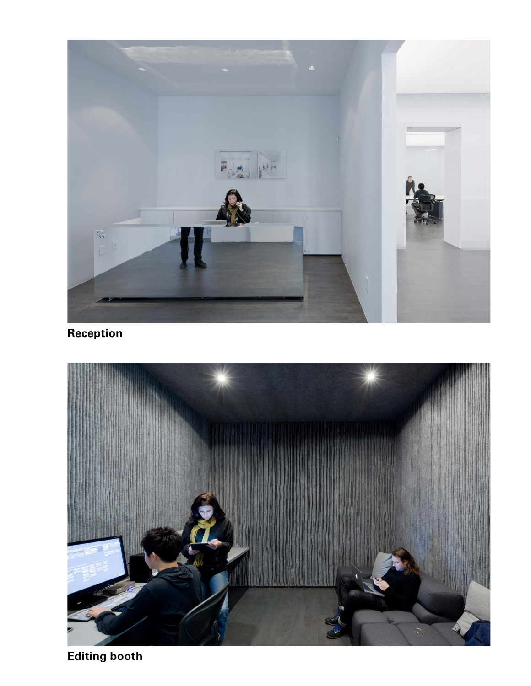

**Reception**



**Editing booth**